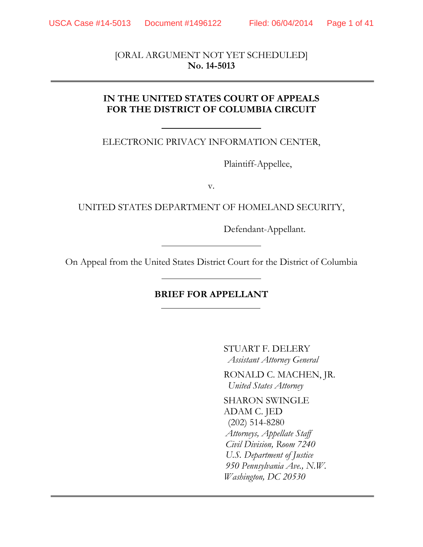[ORAL ARGUMENT NOT YET SCHEDULED] **No. 14-5013** 

## **IN THE UNITED STATES COURT OF APPEALS FOR THE DISTRICT OF COLUMBIA CIRCUIT**

ELECTRONIC PRIVACY INFORMATION CENTER,

Plaintiff-Appellee,

v.

UNITED STATES DEPARTMENT OF HOMELAND SECURITY,

Defendant-Appellant.

On Appeal from the United States District Court for the District of Columbia

## **BRIEF FOR APPELLANT**

STUART F. DELERY  *Assistant Attorney General*

 RONALD C. MACHEN, JR.  *United States Attorney*

SHARON SWINGLE ADAM C. JED (202) 514-8280  *Attorneys, Appellate Staff Civil Division, Room 7240 U.S. Department of Justice 950 Pennsylvania Ave., N.W. Washington, DC 20530*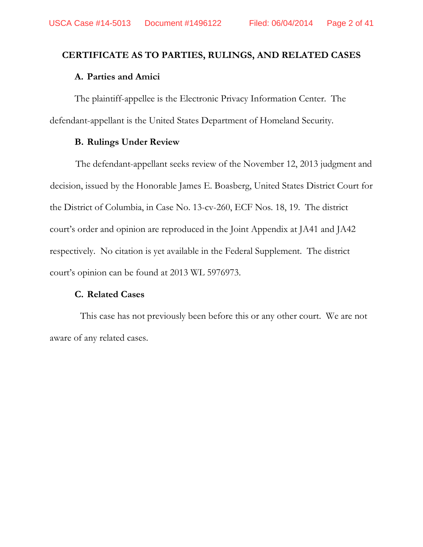#### **CERTIFICATE AS TO PARTIES, RULINGS, AND RELATED CASES**

#### **A. Parties and Amici**

The plaintiff-appellee is the Electronic Privacy Information Center. The defendant-appellant is the United States Department of Homeland Security.

#### **B. Rulings Under Review**

The defendant-appellant seeks review of the November 12, 2013 judgment and decision, issued by the Honorable James E. Boasberg, United States District Court for the District of Columbia, in Case No. 13-cv-260, ECF Nos. 18, 19. The district court's order and opinion are reproduced in the Joint Appendix at JA41 and JA42 respectively. No citation is yet available in the Federal Supplement. The district court's opinion can be found at 2013 WL 5976973.

#### **C. Related Cases**

This case has not previously been before this or any other court. We are not aware of any related cases.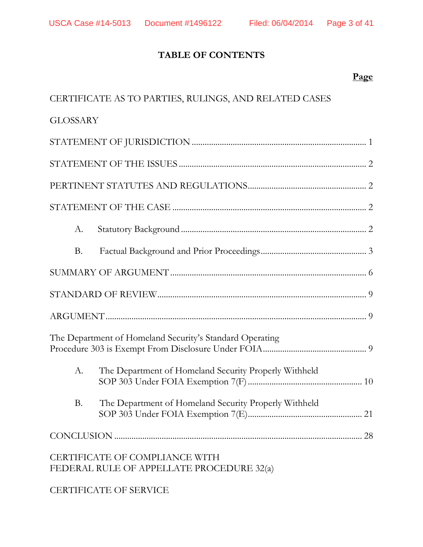## **TABLE OF CONTENTS**

## **Page**

|                 | CERTIFICATE AS TO PARTIES, RULINGS, AND RELATED CASES                       |  |
|-----------------|-----------------------------------------------------------------------------|--|
| <b>GLOSSARY</b> |                                                                             |  |
|                 |                                                                             |  |
|                 |                                                                             |  |
|                 |                                                                             |  |
|                 |                                                                             |  |
| А.              |                                                                             |  |
| <b>B.</b>       |                                                                             |  |
|                 |                                                                             |  |
|                 |                                                                             |  |
|                 |                                                                             |  |
|                 | The Department of Homeland Security's Standard Operating                    |  |
| А.              | The Department of Homeland Security Properly Withheld                       |  |
| <b>B.</b>       | The Department of Homeland Security Properly Withheld                       |  |
|                 |                                                                             |  |
|                 | CERTIFICATE OF COMPLIANCE WITH<br>FEDERAL RULE OF APPELLATE PROCEDURE 32(a) |  |

## CERTIFICATE OF SERVICE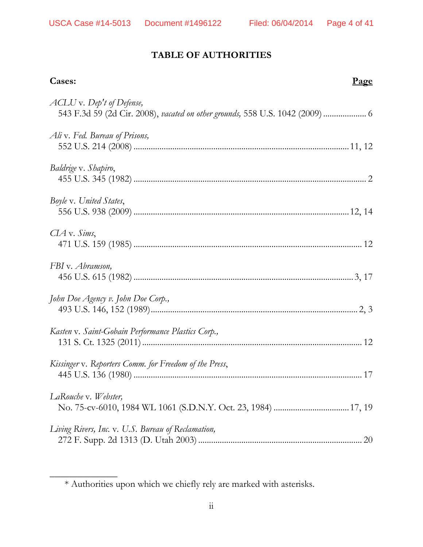$\overline{\phantom{a}}$ 

## **TABLE OF AUTHORITIES**

| Cases:                                                                                                     | <u>Page</u> |
|------------------------------------------------------------------------------------------------------------|-------------|
| ACLU v. Dep't of Defense,<br>543 F.3d 59 (2d Cir. 2008), vacated on other grounds, 558 U.S. 1042 (2009)  6 |             |
| Aliv. Fed. Bureau of Prisons,                                                                              |             |
| Baldrige v. Shapiro,                                                                                       |             |
| Boyle v. United States,                                                                                    |             |
| $CLA$ v. Sims,                                                                                             |             |
| FBI v. Abramson,                                                                                           |             |
| John Doe Agency v. John Doe Corp.,                                                                         |             |
| Kasten v. Saint-Gobain Performance Plastics Corp.,                                                         |             |
| Kissinger v. Reporters Comm. for Freedom of the Press,                                                     |             |
| LaRouche v. Webster,                                                                                       |             |
| Living Rivers, Inc. v. U.S. Bureau of Reclamation,                                                         |             |

<sup>\*</sup> Authorities upon which we chiefly rely are marked with asterisks.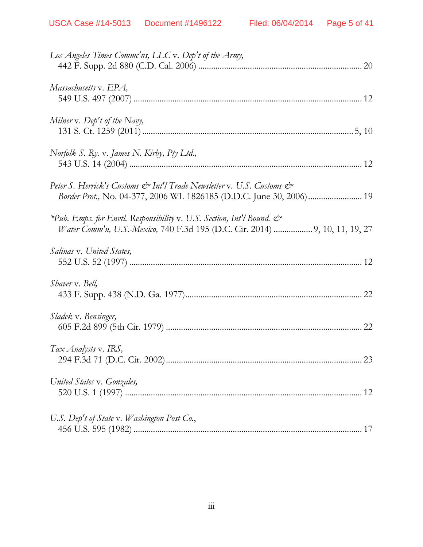| Los Angeles Times Commc'ns, LLC v. Dep't of the Army,                                                                                                              |
|--------------------------------------------------------------------------------------------------------------------------------------------------------------------|
| Massachusetts v. EPA,                                                                                                                                              |
| Milner v. Dep't of the Navy,                                                                                                                                       |
| Norfolk S. Ry. v. James N. Kirby, Pty Ltd.,                                                                                                                        |
| Peter S. Herrick's Customs & Int'l Trade Newsletter v. U.S. Customs &<br>Border Prot., No. 04-377, 2006 WL 1826185 (D.D.C. June 30, 2006) 19                       |
| *Pub. Emps. for Envtl. Responsibility v. U.S. Section, Int'l Bound. $\mathcal{Q}^*$<br>Water Comm'n, U.S.-Mexico, 740 F.3d 195 (D.C. Cir. 2014)  9, 10, 11, 19, 27 |
| <i>Salinas</i> v. United States,                                                                                                                                   |
| Shaver v. Bell,                                                                                                                                                    |
| Sladek v. Bensinger,                                                                                                                                               |
| Tax Analysts v. IRS,                                                                                                                                               |
| United States v. Gonzales,                                                                                                                                         |
| U.S. Dep't of State v. Washington Post Co.,                                                                                                                        |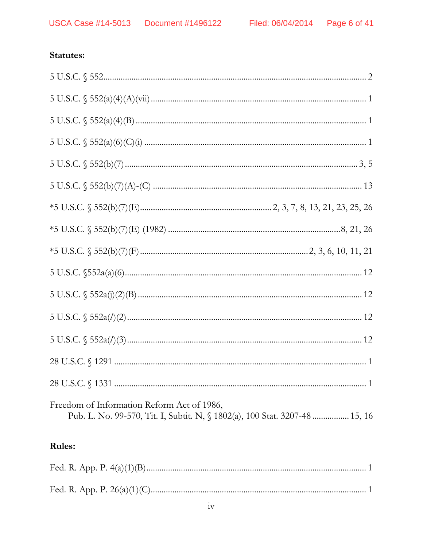## Statutes:

| Freedom of Information Reform Act of 1986,<br>Pub. L. No. 99-570, Tit. I, Subtit. N, § 1802(a), 100 Stat. 3207-48  15, 16 |
|---------------------------------------------------------------------------------------------------------------------------|
| <b>Rules:</b>                                                                                                             |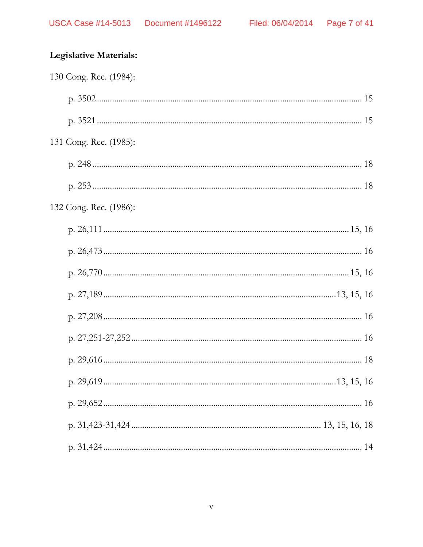## Legislative Materials:

| 130 Cong. Rec. (1984): |  |
|------------------------|--|
|                        |  |
|                        |  |
| 131 Cong. Rec. (1985): |  |
|                        |  |
|                        |  |
| 132 Cong. Rec. (1986): |  |
|                        |  |
|                        |  |
|                        |  |
|                        |  |
|                        |  |
|                        |  |
|                        |  |
|                        |  |
|                        |  |
|                        |  |
|                        |  |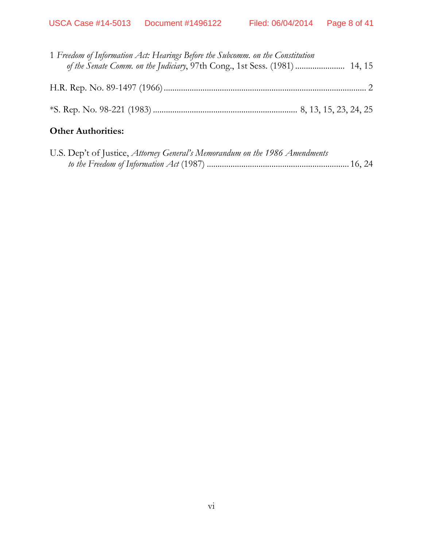| 1 Freedom of Information Act: Hearings Before the Subcomm. on the Constitution<br>of the Senate Comm. on the Judiciary, 97th Cong., 1st Sess. (1981)  14, 15 |  |
|--------------------------------------------------------------------------------------------------------------------------------------------------------------|--|
|                                                                                                                                                              |  |
|                                                                                                                                                              |  |
|                                                                                                                                                              |  |

## **Other Authorities:**

| U.S. Dep't of Justice, Attorney General's Memorandum on the 1986 Amendments |  |
|-----------------------------------------------------------------------------|--|
|                                                                             |  |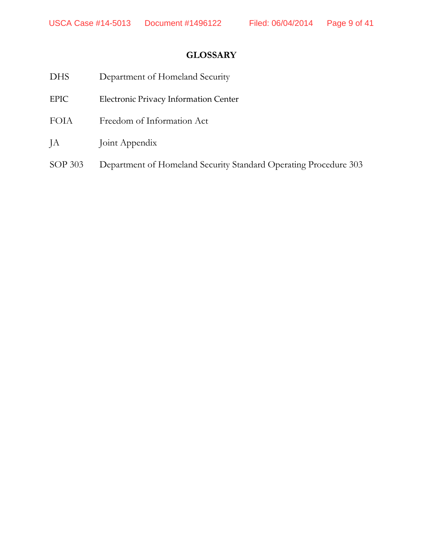## **GLOSSARY**

| <b>DHS</b>  | Department of Homeland Security                                  |
|-------------|------------------------------------------------------------------|
| <b>EPIC</b> | Electronic Privacy Information Center                            |
| <b>FOIA</b> | Freedom of Information Act                                       |
| JA          | Joint Appendix                                                   |
| SOP 303     | Department of Homeland Security Standard Operating Procedure 303 |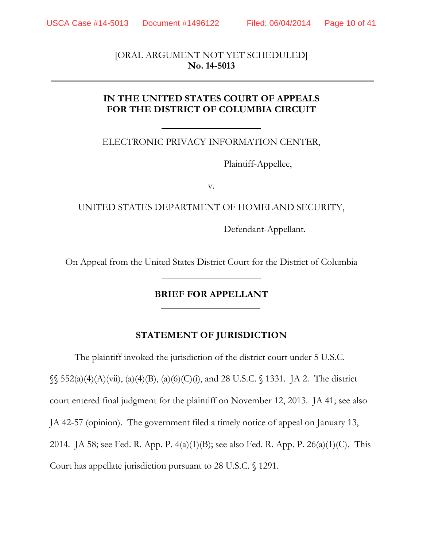[ORAL ARGUMENT NOT YET SCHEDULED] **No. 14-5013** 

## **IN THE UNITED STATES COURT OF APPEALS FOR THE DISTRICT OF COLUMBIA CIRCUIT**

ELECTRONIC PRIVACY INFORMATION CENTER,

Plaintiff-Appellee,

v.

UNITED STATES DEPARTMENT OF HOMELAND SECURITY,

Defendant-Appellant.

On Appeal from the United States District Court for the District of Columbia

### **BRIEF FOR APPELLANT**

## **STATEMENT OF JURISDICTION**

The plaintiff invoked the jurisdiction of the district court under 5 U.S.C.

§§ 552(a)(4)(A)(vii), (a)(4)(B), (a)(6)(C)(i), and 28 U.S.C. § 1331. JA 2. The district court entered final judgment for the plaintiff on November 12, 2013. JA 41; see also

JA 42-57 (opinion). The government filed a timely notice of appeal on January 13,

2014. JA 58; see Fed. R. App. P.  $4(a)(1)(B)$ ; see also Fed. R. App. P.  $26(a)(1)(C)$ . This

Court has appellate jurisdiction pursuant to 28 U.S.C. § 1291.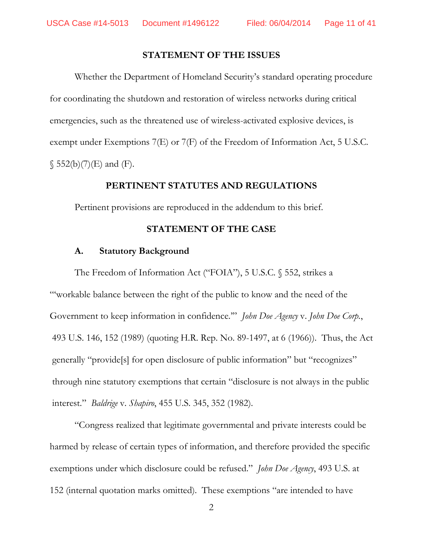#### **STATEMENT OF THE ISSUES**

Whether the Department of Homeland Security's standard operating procedure for coordinating the shutdown and restoration of wireless networks during critical emergencies, such as the threatened use of wireless-activated explosive devices, is exempt under Exemptions 7(E) or 7(F) of the Freedom of Information Act, 5 U.S.C.  $$552(b)(7)(E)$  and (F).

#### **PERTINENT STATUTES AND REGULATIONS**

Pertinent provisions are reproduced in the addendum to this brief.

#### **STATEMENT OF THE CASE**

#### **A. Statutory Background**

The Freedom of Information Act ("FOIA"), 5 U.S.C. § 552, strikes a "'workable balance between the right of the public to know and the need of the Government to keep information in confidence.'" *John Doe Agency* v. *John Doe Corp.*, 493 U.S. 146, 152 (1989) (quoting H.R. Rep. No. 89-1497, at 6 (1966)). Thus, the Act generally "provide[s] for open disclosure of public information" but "recognizes" through nine statutory exemptions that certain "disclosure is not always in the public interest." *Baldrige* v. *Shapiro*, 455 U.S. 345, 352 (1982).

"Congress realized that legitimate governmental and private interests could be harmed by release of certain types of information, and therefore provided the specific exemptions under which disclosure could be refused." *John Doe Agency*, 493 U.S. at 152 (internal quotation marks omitted). These exemptions "are intended to have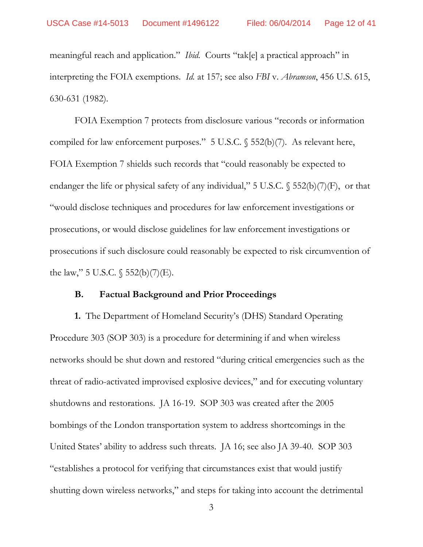meaningful reach and application." *Ibid.* Courts "tak[e] a practical approach" in interpreting the FOIA exemptions. *Id.* at 157; see also *FBI* v. *Abramson*, 456 U.S. 615, 630-631 (1982).

FOIA Exemption 7 protects from disclosure various "records or information compiled for law enforcement purposes." 5 U.S.C. § 552(b)(7). As relevant here, FOIA Exemption 7 shields such records that "could reasonably be expected to endanger the life or physical safety of any individual," 5 U.S.C.  $\$52(b)(7)(F)$ , or that "would disclose techniques and procedures for law enforcement investigations or prosecutions, or would disclose guidelines for law enforcement investigations or prosecutions if such disclosure could reasonably be expected to risk circumvention of the law," 5 U.S.C.  $\S$  552(b)(7)(E).

#### **B. Factual Background and Prior Proceedings**

**1.** The Department of Homeland Security's (DHS) Standard Operating Procedure 303 (SOP 303) is a procedure for determining if and when wireless networks should be shut down and restored "during critical emergencies such as the threat of radio-activated improvised explosive devices," and for executing voluntary shutdowns and restorations. JA 16-19. SOP 303 was created after the 2005 bombings of the London transportation system to address shortcomings in the United States' ability to address such threats. JA 16; see also JA 39-40. SOP 303 "establishes a protocol for verifying that circumstances exist that would justify shutting down wireless networks," and steps for taking into account the detrimental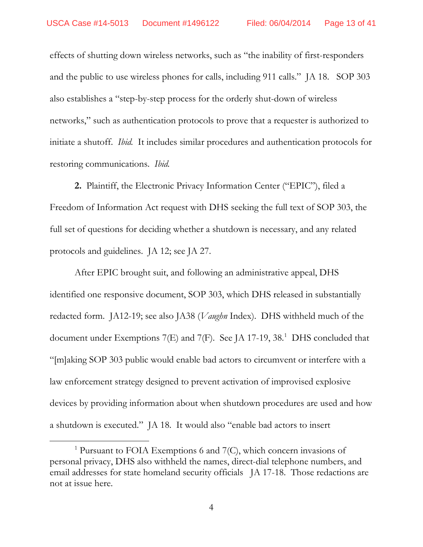effects of shutting down wireless networks, such as "the inability of first-responders and the public to use wireless phones for calls, including 911 calls." JA 18. SOP 303 also establishes a "step-by-step process for the orderly shut-down of wireless networks," such as authentication protocols to prove that a requester is authorized to initiate a shutoff. *Ibid.* It includes similar procedures and authentication protocols for restoring communications. *Ibid.*

**2.** Plaintiff, the Electronic Privacy Information Center ("EPIC"), filed a Freedom of Information Act request with DHS seeking the full text of SOP 303, the full set of questions for deciding whether a shutdown is necessary, and any related protocols and guidelines. JA 12; see JA 27.

After EPIC brought suit, and following an administrative appeal, DHS identified one responsive document, SOP 303, which DHS released in substantially redacted form. JA12-19; see also JA38 (*Vaughn* Index). DHS withheld much of the document under Exemptions  $7(E)$  and  $7(F)$ . See JA 17-19, 38.<sup>1</sup> DHS concluded that "[m]aking SOP 303 public would enable bad actors to circumvent or interfere with a law enforcement strategy designed to prevent activation of improvised explosive devices by providing information about when shutdown procedures are used and how a shutdown is executed." JA 18. It would also "enable bad actors to insert

 $\overline{a}$ 

<span id="page-12-0"></span><sup>&</sup>lt;sup>1</sup> Pursuant to FOIA Exemptions 6 and  $7(C)$ , which concern invasions of personal privacy, DHS also withheld the names, direct-dial telephone numbers, and email addresses for state homeland security officials JA 17-18. Those redactions are not at issue here.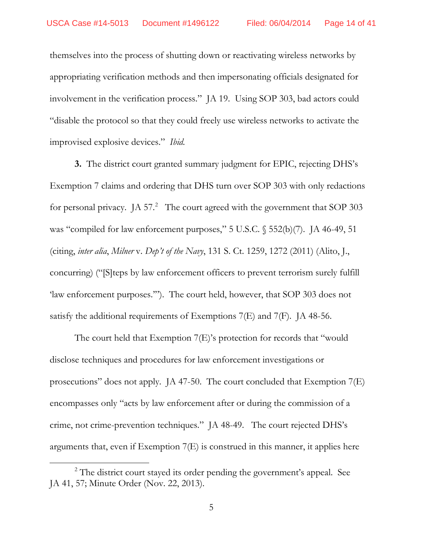themselves into the process of shutting down or reactivating wireless networks by appropriating verification methods and then impersonating officials designated for involvement in the verification process." JA 19. Using SOP 303, bad actors could "disable the protocol so that they could freely use wireless networks to activate the improvised explosive devices." *Ibid.*

**3.** The district court granted summary judgment for EPIC, rejecting DHS's Exemption 7 claims and ordering that DHS turn over SOP 303 with only redactions for personal privacy. JA  $57.^2$  $57.^2$  The court agreed with the government that SOP 303 was "compiled for law enforcement purposes," 5 U.S.C. § 552(b)(7). JA 46-49, 51 (citing, *inter alia*, *Milner* v. *Dep't of the Navy*, 131 S. Ct. 1259, 1272 (2011) (Alito, J., concurring) ("[S]teps by law enforcement officers to prevent terrorism surely fulfill 'law enforcement purposes.'"). The court held, however, that SOP 303 does not satisfy the additional requirements of Exemptions 7(E) and 7(F). JA 48-56.

The court held that Exemption 7(E)'s protection for records that "would disclose techniques and procedures for law enforcement investigations or prosecutions" does not apply. JA 47-50. The court concluded that Exemption 7(E) encompasses only "acts by law enforcement after or during the commission of a crime, not crime-prevention techniques." JA 48-49. The court rejected DHS's arguments that, even if Exemption 7(E) is construed in this manner, it applies here

 $\overline{a}$ 

<span id="page-13-0"></span><sup>&</sup>lt;sup>2</sup> The district court stayed its order pending the government's appeal. See JA 41, 57; Minute Order (Nov. 22, 2013).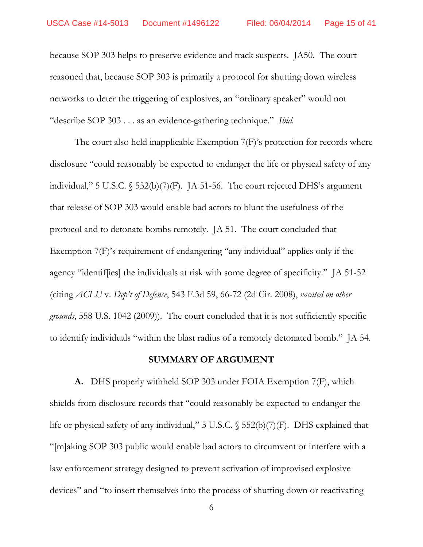because SOP 303 helps to preserve evidence and track suspects. JA50. The court reasoned that, because SOP 303 is primarily a protocol for shutting down wireless networks to deter the triggering of explosives, an "ordinary speaker" would not "describe SOP 303 . . . as an evidence-gathering technique." *Ibid.*

The court also held inapplicable Exemption 7(F)'s protection for records where disclosure "could reasonably be expected to endanger the life or physical safety of any individual," 5 U.S.C. § 552(b)(7)(F). JA 51-56. The court rejected DHS's argument that release of SOP 303 would enable bad actors to blunt the usefulness of the protocol and to detonate bombs remotely. JA 51. The court concluded that Exemption 7(F)'s requirement of endangering "any individual" applies only if the agency "identif[ies] the individuals at risk with some degree of specificity." JA 51-52 (citing *ACLU* v. *Dep't of Defense*, 543 F.3d 59, 66-72 (2d Cir. 2008), *vacated on other grounds*, 558 U.S. 1042 (2009)). The court concluded that it is not sufficiently specific to identify individuals "within the blast radius of a remotely detonated bomb." JA 54.

#### **SUMMARY OF ARGUMENT**

**A.** DHS properly withheld SOP 303 under FOIA Exemption 7(F), which shields from disclosure records that "could reasonably be expected to endanger the life or physical safety of any individual," 5 U.S.C. § 552(b)(7)(F). DHS explained that "[m]aking SOP 303 public would enable bad actors to circumvent or interfere with a law enforcement strategy designed to prevent activation of improvised explosive devices" and "to insert themselves into the process of shutting down or reactivating

<sup>6</sup>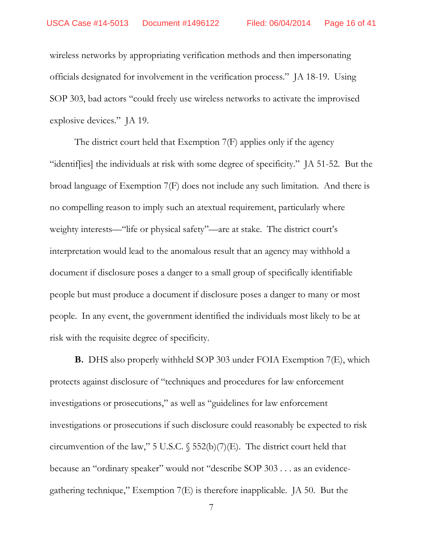wireless networks by appropriating verification methods and then impersonating officials designated for involvement in the verification process." JA 18-19. Using SOP 303, bad actors "could freely use wireless networks to activate the improvised explosive devices." JA 19.

The district court held that Exemption 7(F) applies only if the agency "identif[ies] the individuals at risk with some degree of specificity." JA 51-52. But the broad language of Exemption 7(F) does not include any such limitation. And there is no compelling reason to imply such an atextual requirement, particularly where weighty interests—"life or physical safety"—are at stake. The district court's interpretation would lead to the anomalous result that an agency may withhold a document if disclosure poses a danger to a small group of specifically identifiable people but must produce a document if disclosure poses a danger to many or most people. In any event, the government identified the individuals most likely to be at risk with the requisite degree of specificity.

**B.** DHS also properly withheld SOP 303 under FOIA Exemption 7(E), which protects against disclosure of "techniques and procedures for law enforcement investigations or prosecutions," as well as "guidelines for law enforcement investigations or prosecutions if such disclosure could reasonably be expected to risk circumvention of the law," 5 U.S.C.  $\$ 552(b)(7)(E)$ . The district court held that because an "ordinary speaker" would not "describe SOP 303 . . . as an evidencegathering technique," Exemption 7(E) is therefore inapplicable. JA 50. But the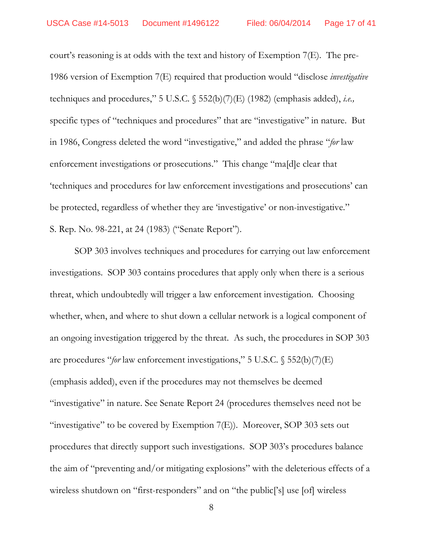court's reasoning is at odds with the text and history of Exemption 7(E). The pre-1986 version of Exemption 7(E) required that production would "disclose *investigative* techniques and procedures," 5 U.S.C. § 552(b)(7)(E) (1982) (emphasis added), *i.e.,* specific types of "techniques and procedures" that are "investigative" in nature. But in 1986, Congress deleted the word "investigative," and added the phrase "*for* law enforcement investigations or prosecutions." This change "ma[d]e clear that 'techniques and procedures for law enforcement investigations and prosecutions' can be protected, regardless of whether they are 'investigative' or non-investigative." S. Rep. No. 98-221, at 24 (1983) ("Senate Report").

SOP 303 involves techniques and procedures for carrying out law enforcement investigations. SOP 303 contains procedures that apply only when there is a serious threat, which undoubtedly will trigger a law enforcement investigation. Choosing whether, when, and where to shut down a cellular network is a logical component of an ongoing investigation triggered by the threat. As such, the procedures in SOP 303 are procedures "*for* law enforcement investigations," 5 U.S.C. § 552(b)(7)(E) (emphasis added), even if the procedures may not themselves be deemed "investigative" in nature. See Senate Report 24 (procedures themselves need not be "investigative" to be covered by Exemption  $7(E)$ ). Moreover, SOP 303 sets out procedures that directly support such investigations. SOP 303's procedures balance the aim of "preventing and/or mitigating explosions" with the deleterious effects of a wireless shutdown on "first-responders" and on "the public['s] use [of] wireless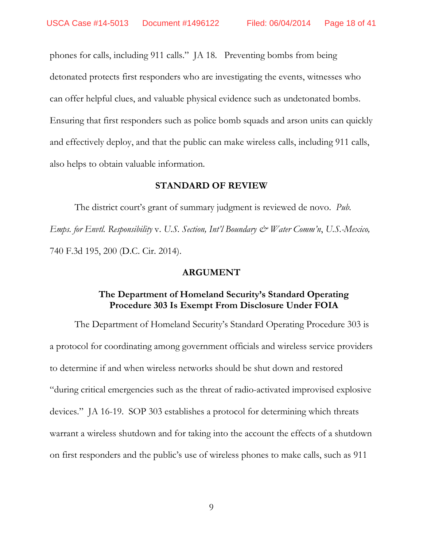phones for calls, including 911 calls." JA 18. Preventing bombs from being detonated protects first responders who are investigating the events, witnesses who can offer helpful clues, and valuable physical evidence such as undetonated bombs. Ensuring that first responders such as police bomb squads and arson units can quickly and effectively deploy, and that the public can make wireless calls, including 911 calls, also helps to obtain valuable information.

#### **STANDARD OF REVIEW**

The district court's grant of summary judgment is reviewed de novo. *Pub. Emps. for Envtl. Responsibility* v. *U.S. Section, Int'l Boundary & Water Comm'n*, *U.S.-Mexico,*  740 F.3d 195, 200 (D.C. Cir. 2014).

#### **ARGUMENT**

#### **The Department of Homeland Security's Standard Operating Procedure 303 Is Exempt From Disclosure Under FOIA**

The Department of Homeland Security's Standard Operating Procedure 303 is a protocol for coordinating among government officials and wireless service providers to determine if and when wireless networks should be shut down and restored "during critical emergencies such as the threat of radio-activated improvised explosive devices." JA 16-19. SOP 303 establishes a protocol for determining which threats warrant a wireless shutdown and for taking into the account the effects of a shutdown on first responders and the public's use of wireless phones to make calls, such as 911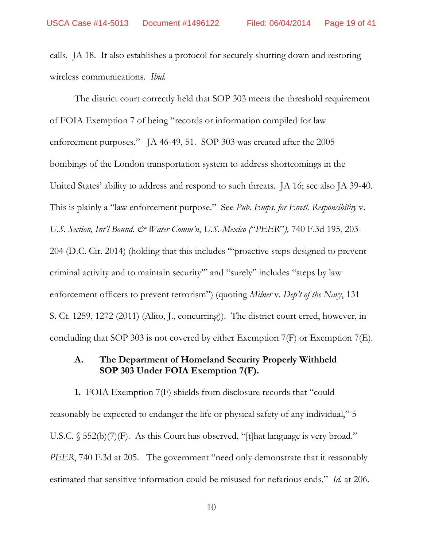calls. JA 18. It also establishes a protocol for securely shutting down and restoring wireless communications. *Ibid.*

The district court correctly held that SOP 303 meets the threshold requirement of FOIA Exemption 7 of being "records or information compiled for law enforcement purposes." JA 46-49, 51. SOP 303 was created after the 2005 bombings of the London transportation system to address shortcomings in the United States' ability to address and respond to such threats. JA 16; see also JA 39-40. This is plainly a "law enforcement purpose." See *Pub. Emps. for Envtl. Responsibility* v. *U.S. Section, Int'l Bound. & Water Comm'n*, *U.S.-Mexico (*"*PEER*"*),* 740 F.3d 195, 203- 204 (D.C. Cir. 2014) (holding that this includes "'proactive steps designed to prevent criminal activity and to maintain security'" and "surely" includes "steps by law enforcement officers to prevent terrorism") (quoting *Milner* v. *Dep't of the Navy*, 131 S. Ct. 1259, 1272 (2011) (Alito, J., concurring)). The district court erred, however, in concluding that SOP 303 is not covered by either Exemption 7(F) or Exemption 7(E).

#### **A. The Department of Homeland Security Properly Withheld SOP 303 Under FOIA Exemption 7(F).**

**1.** FOIA Exemption 7(F) shields from disclosure records that "could reasonably be expected to endanger the life or physical safety of any individual," 5 U.S.C. § 552(b)(7)(F). As this Court has observed, "[t]hat language is very broad." *PEER*, 740 F.3d at 205. The government "need only demonstrate that it reasonably estimated that sensitive information could be misused for nefarious ends." *Id.* at 206.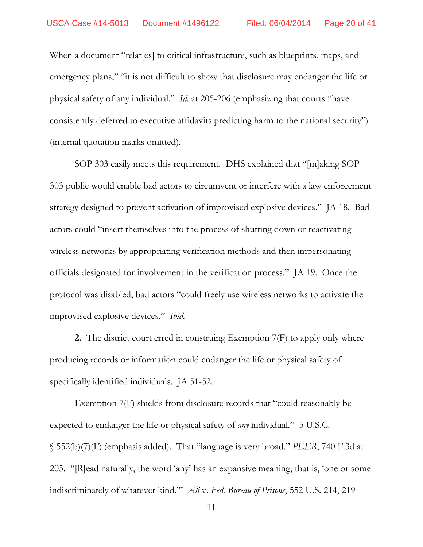When a document "relat[es] to critical infrastructure, such as blueprints, maps, and emergency plans," "it is not difficult to show that disclosure may endanger the life or physical safety of any individual." *Id.* at 205-206 (emphasizing that courts "have consistently deferred to executive affidavits predicting harm to the national security") (internal quotation marks omitted).

SOP 303 easily meets this requirement. DHS explained that "[m]aking SOP 303 public would enable bad actors to circumvent or interfere with a law enforcement strategy designed to prevent activation of improvised explosive devices." JA 18. Bad actors could "insert themselves into the process of shutting down or reactivating wireless networks by appropriating verification methods and then impersonating officials designated for involvement in the verification process." JA 19. Once the protocol was disabled, bad actors "could freely use wireless networks to activate the improvised explosive devices." *Ibid.*

**2.** The district court erred in construing Exemption 7(F) to apply only where producing records or information could endanger the life or physical safety of specifically identified individuals. JA 51-52.

Exemption 7(F) shields from disclosure records that "could reasonably be expected to endanger the life or physical safety of *any* individual." 5 U.S.C. § 552(b)(7)(F) (emphasis added). That "language is very broad." *PEER*, 740 F.3d at 205. "[R]ead naturally, the word 'any' has an expansive meaning, that is, 'one or some indiscriminately of whatever kind.'" *Ali* v. *Fed. Bureau of Prisons*, 552 U.S. 214, 219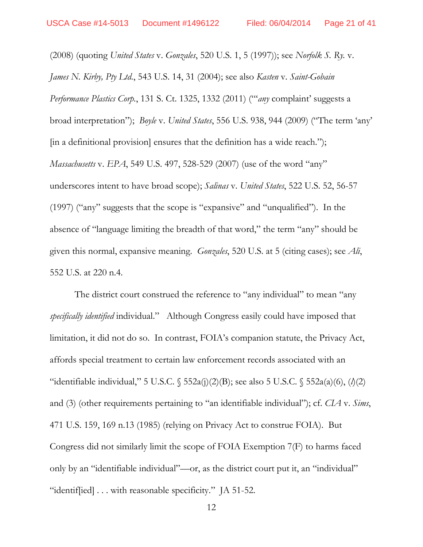(2008) (quoting *United States* v. *Gonzales*, 520 U.S. 1, 5 (1997)); see *Norfolk S. Ry.* v. *James N. Kirby, Pty Ltd.*, 543 U.S. 14, 31 (2004); see also *Kasten* v. *Saint-Gobain Performance Plastics Corp.*, 131 S. Ct. 1325, 1332 (2011) ("'*any* complaint' suggests a broad interpretation"); *Boyle* v. *United States*, 556 U.S. 938, 944 (2009) ("The term 'any' [in a definitional provision] ensures that the definition has a wide reach."); *Massachusetts* v. *EPA*, 549 U.S. 497, 528-529 (2007) (use of the word "any" underscores intent to have broad scope); *Salinas* v. *United States*, 522 U.S. 52, 56-57 (1997) ("any" suggests that the scope is "expansive" and "unqualified"). In the absence of "language limiting the breadth of that word," the term "any" should be given this normal, expansive meaning. *Gonzales*, 520 U.S. at 5 (citing cases); see *Ali*, 552 U.S. at 220 n.4.

The district court construed the reference to "any individual" to mean "any *specifically identified* individual." Although Congress easily could have imposed that limitation, it did not do so. In contrast, FOIA's companion statute, the Privacy Act, affords special treatment to certain law enforcement records associated with an "identifiable individual," 5 U.S.C.  $\sqrt{552a(j)(2)(B)}$ ; see also 5 U.S.C.  $\sqrt{552a(a)(6)}$ ,  $(\sqrt{2})$ and (3) (other requirements pertaining to "an identifiable individual"); cf. *CIA* v. *Sims*, 471 U.S. 159, 169 n.13 (1985) (relying on Privacy Act to construe FOIA). But Congress did not similarly limit the scope of FOIA Exemption 7(F) to harms faced only by an "identifiable individual"—or, as the district court put it, an "individual" "identif[ied] . . . with reasonable specificity." JA 51-52.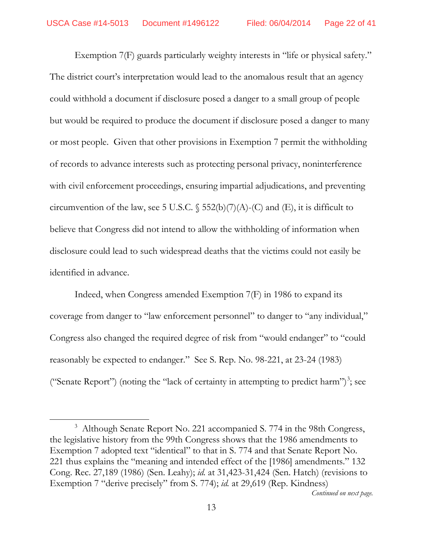Exemption 7(F) guards particularly weighty interests in "life or physical safety." The district court's interpretation would lead to the anomalous result that an agency could withhold a document if disclosure posed a danger to a small group of people but would be required to produce the document if disclosure posed a danger to many or most people. Given that other provisions in Exemption 7 permit the withholding of records to advance interests such as protecting personal privacy, noninterference with civil enforcement proceedings, ensuring impartial adjudications, and preventing circumvention of the law, see 5 U.S.C.  $\S$  552(b)(7)(A)-(C) and (E), it is difficult to believe that Congress did not intend to allow the withholding of information when disclosure could lead to such widespread deaths that the victims could not easily be identified in advance.

Indeed, when Congress amended Exemption 7(F) in 1986 to expand its coverage from danger to "law enforcement personnel" to danger to "any individual," Congress also changed the required degree of risk from "would endanger" to "could reasonably be expected to endanger." See S. Rep. No. 98-221, at 23-24 (1983) ("Senate Report") (noting the "lack of certainty in attempting to predict harm")<sup>[3](#page-21-0)</sup>; see

 $\overline{a}$ 

*Continued on next page.*

<span id="page-21-0"></span><sup>&</sup>lt;sup>3</sup> Although Senate Report No. 221 accompanied S. 774 in the 98th Congress, the legislative history from the 99th Congress shows that the 1986 amendments to Exemption 7 adopted text "identical" to that in S. 774 and that Senate Report No. 221 thus explains the "meaning and intended effect of the [1986] amendments." 132 Cong. Rec. 27,189 (1986) (Sen. Leahy); *id.* at 31,423-31,424 (Sen. Hatch) (revisions to Exemption 7 "derive precisely" from S. 774); *id.* at 29,619 (Rep. Kindness)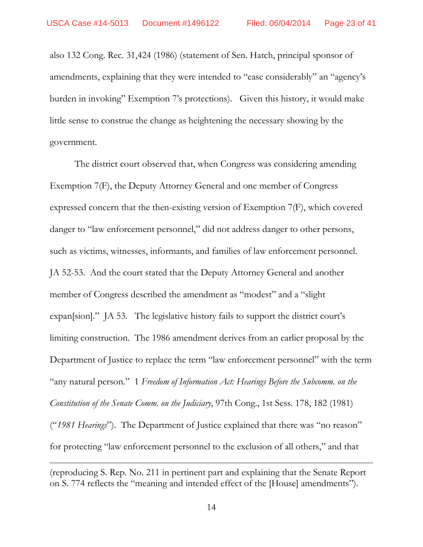also 132 Cong. Rec. 31,424 (1986) (statement of Sen. Hatch, principal sponsor of amendments, explaining that they were intended to "ease considerably" an "agency's burden in invoking" Exemption 7's protections). Given this history, it would make little sense to construe the change as heightening the necessary showing by the government.

The district court observed that, when Congress was considering amending Exemption 7(F), the Deputy Attorney General and one member of Congress expressed concern that the then-existing version of Exemption 7(F), which covered danger to "law enforcement personnel," did not address danger to other persons, such as victims, witnesses, informants, and families of law enforcement personnel. JA 52-53. And the court stated that the Deputy Attorney General and another member of Congress described the amendment as "modest" and a "slight expan[sion]." JA 53. The legislative history fails to support the district court's limiting construction. The 1986 amendment derives from an earlier proposal by the Department of Justice to replace the term "law enforcement personnel" with the term "any natural person." 1 *Freedom of Information Act: Hearings Before the Subcomm. on the Constitution of the Senate Comm. on the Judiciary*, 97th Cong., 1st Sess. 178, 182 (1981) ("*1981 Hearings*"). The Department of Justice explained that there was "no reason" for protecting "law enforcement personnel to the exclusion of all others," and that

 $\overline{a}$ 

<sup>(</sup>reproducing S. Rep. No. 211 in pertinent part and explaining that the Senate Report on S. 774 reflects the "meaning and intended effect of the [House] amendments").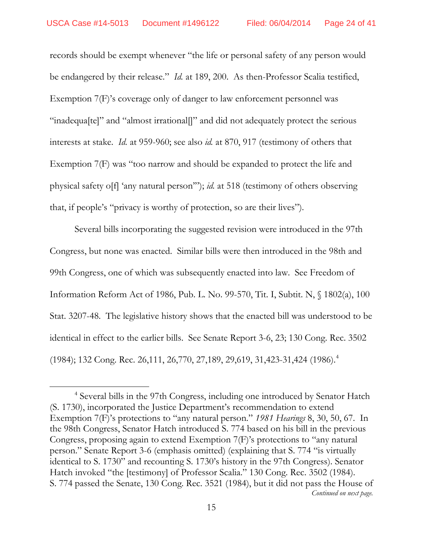records should be exempt whenever "the life or personal safety of any person would be endangered by their release." *Id.* at 189, 200. As then-Professor Scalia testified, Exemption 7(F)'s coverage only of danger to law enforcement personnel was "inadequa[te]" and "almost irrational[]" and did not adequately protect the serious interests at stake. *Id.* at 959-960; see also *id.* at 870, 917 (testimony of others that Exemption 7(F) was "too narrow and should be expanded to protect the life and physical safety o[f] 'any natural person'"); *id.* at 518 (testimony of others observing that, if people's "privacy is worthy of protection, so are their lives").

Several bills incorporating the suggested revision were introduced in the 97th Congress, but none was enacted. Similar bills were then introduced in the 98th and 99th Congress, one of which was subsequently enacted into law. See Freedom of Information Reform Act of 1986, Pub. L. No. 99-570, Tit. I, Subtit. N, § 1802(a), 100 Stat. 3207-48. The legislative history shows that the enacted bill was understood to be identical in effect to the earlier bills. See Senate Report 3-6, 23; 130 Cong. Rec. 3502 (1984); 132 Cong. Rec. 26,111, 26,770, 27,189, 29,619, 31,423-31,424 (1986). [4](#page-23-0)

 $\overline{a}$ 

<span id="page-23-0"></span><sup>&</sup>lt;sup>4</sup> Several bills in the 97th Congress, including one introduced by Senator Hatch (S. 1730), incorporated the Justice Department's recommendation to extend Exemption 7(F)'s protections to "any natural person." *1981 Hearings* 8, 30, 50, 67. In the 98th Congress, Senator Hatch introduced S. 774 based on his bill in the previous Congress, proposing again to extend Exemption 7(F)'s protections to "any natural person." Senate Report 3-6 (emphasis omitted) (explaining that S. 774 "is virtually identical to S. 1730" and recounting S. 1730's history in the 97th Congress). Senator Hatch invoked "the [testimony] of Professor Scalia." 130 Cong. Rec. 3502 (1984). S. 774 passed the Senate, 130 Cong. Rec. 3521 (1984), but it did not pass the House of *Continued on next page.*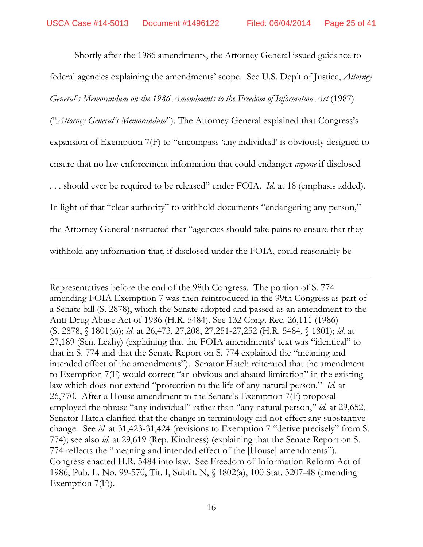Shortly after the 1986 amendments, the Attorney General issued guidance to

federal agencies explaining the amendments' scope. See U.S. Dep't of Justice, *Attorney* 

*General's Memorandum on the 1986 Amendments to the Freedom of Information Act* (1987)

("*Attorney General's Memorandum*"). The Attorney General explained that Congress's

expansion of Exemption 7(F) to "encompass 'any individual' is obviously designed to

ensure that no law enforcement information that could endanger *anyone* if disclosed

. . . should ever be required to be released" under FOIA. *Id.* at 18 (emphasis added).

In light of that "clear authority" to withhold documents "endangering any person,"

the Attorney General instructed that "agencies should take pains to ensure that they

withhold any information that, if disclosed under the FOIA, could reasonably be

Representatives before the end of the 98th Congress. The portion of S. 774 amending FOIA Exemption 7 was then reintroduced in the 99th Congress as part of a Senate bill (S. 2878), which the Senate adopted and passed as an amendment to the Anti-Drug Abuse Act of 1986 (H.R. 5484). See 132 Cong. Rec. 26,111 (1986) (S. 2878, § 1801(a)); *id*. at 26,473, 27,208, 27,251-27,252 (H.R. 5484, § 1801); *id.* at 27,189 (Sen. Leahy) (explaining that the FOIA amendments' text was "identical" to that in S. 774 and that the Senate Report on S. 774 explained the "meaning and intended effect of the amendments"). Senator Hatch reiterated that the amendment to Exemption 7(F) would correct "an obvious and absurd limitation" in the existing law which does not extend "protection to the life of any natural person." *Id.* at 26,770. After a House amendment to the Senate's Exemption 7(F) proposal employed the phrase "any individual" rather than "any natural person," *id.* at 29,652, Senator Hatch clarified that the change in terminology did not effect any substantive change. See *id.* at 31,423-31,424 (revisions to Exemption 7 "derive precisely" from S. 774); see also *id.* at 29,619 (Rep. Kindness) (explaining that the Senate Report on S. 774 reflects the "meaning and intended effect of the [House] amendments"). Congress enacted H.R. 5484 into law. See Freedom of Information Reform Act of 1986, Pub. L. No. 99-570, Tit. I, Subtit. N, § 1802(a), 100 Stat. 3207-48 (amending Exemption 7(F)).  $\overline{a}$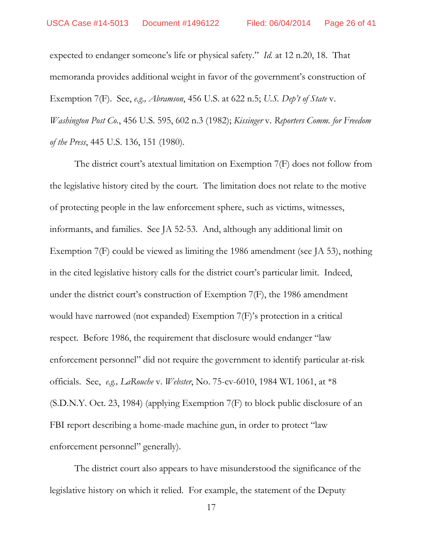expected to endanger someone's life or physical safety." *Id.* at 12 n.20, 18. That memoranda provides additional weight in favor of the government's construction of Exemption 7(F). See, *e.g., Abramson*, 456 U.S. at 622 n.5; *U.S. Dep't of State* v. *Washington Post Co.*, 456 U.S. 595, 602 n.3 (1982); *Kissinger* v. *Reporters Comm. for Freedom of the Press*, 445 U.S. 136, 151 (1980).

The district court's atextual limitation on Exemption 7(F) does not follow from the legislative history cited by the court. The limitation does not relate to the motive of protecting people in the law enforcement sphere, such as victims, witnesses, informants, and families. See JA 52-53. And, although any additional limit on Exemption 7(F) could be viewed as limiting the 1986 amendment (see JA 53), nothing in the cited legislative history calls for the district court's particular limit. Indeed, under the district court's construction of Exemption 7(F), the 1986 amendment would have narrowed (not expanded) Exemption 7(F)'s protection in a critical respect. Before 1986, the requirement that disclosure would endanger "law enforcement personnel" did not require the government to identify particular at-risk officials. See, *e.g., LaRouche* v. *Webster*, No. 75-cv-6010, 1984 WL 1061, at \*8 (S.D.N.Y. Oct. 23, 1984) (applying Exemption 7(F) to block public disclosure of an FBI report describing a home-made machine gun, in order to protect "law enforcement personnel" generally).

The district court also appears to have misunderstood the significance of the legislative history on which it relied. For example, the statement of the Deputy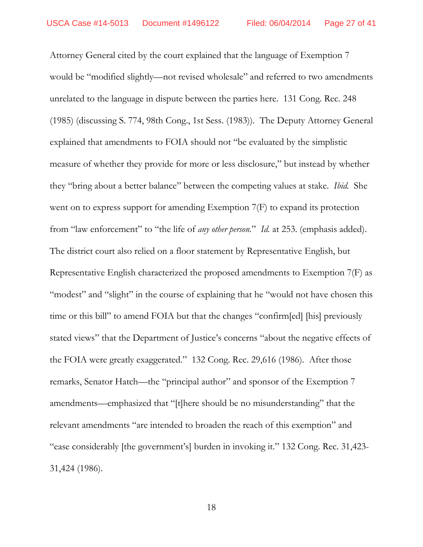Attorney General cited by the court explained that the language of Exemption 7 would be "modified slightly—not revised wholesale" and referred to two amendments unrelated to the language in dispute between the parties here. 131 Cong. Rec. 248 (1985) (discussing S. 774, 98th Cong., 1st Sess. (1983)). The Deputy Attorney General explained that amendments to FOIA should not "be evaluated by the simplistic measure of whether they provide for more or less disclosure," but instead by whether they "bring about a better balance" between the competing values at stake. *Ibid.* She went on to express support for amending Exemption 7(F) to expand its protection from "law enforcement" to "the life of *any other person.*" *Id.* at 253. (emphasis added). The district court also relied on a floor statement by Representative English, but Representative English characterized the proposed amendments to Exemption 7(F) as "modest" and "slight" in the course of explaining that he "would not have chosen this time or this bill" to amend FOIA but that the changes "confirm[ed] [his] previously stated views" that the Department of Justice's concerns "about the negative effects of the FOIA were greatly exaggerated." 132 Cong. Rec. 29,616 (1986). After those remarks, Senator Hatch—the "principal author" and sponsor of the Exemption 7 amendments—emphasized that "[t]here should be no misunderstanding" that the relevant amendments "are intended to broaden the reach of this exemption" and "ease considerably [the government's] burden in invoking it." 132 Cong. Rec. 31,423- 31,424 (1986).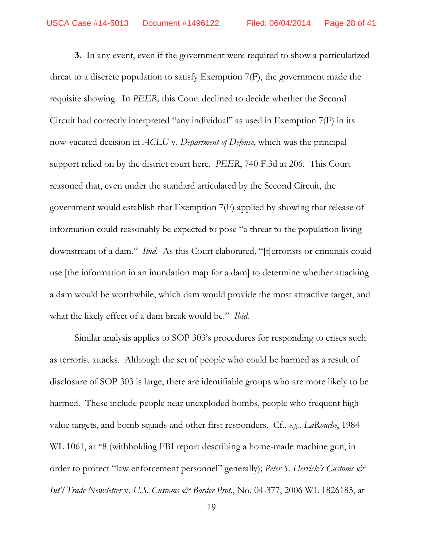**3.** In any event, even if the government were required to show a particularized threat to a discrete population to satisfy Exemption 7(F), the government made the requisite showing. In *PEER,* this Court declined to decide whether the Second Circuit had correctly interpreted "any individual" as used in Exemption 7(F) in its now-vacated decision in *ACLU* v. *Department of Defense*, which was the principal support relied on by the district court here. *PEER*, 740 F.3d at 206. This Court reasoned that, even under the standard articulated by the Second Circuit, the government would establish that Exemption 7(F) applied by showing that release of information could reasonably be expected to pose "a threat to the population living downstream of a dam." *Ibid*. As this Court elaborated, "[t]errorists or criminals could use [the information in an inundation map for a dam] to determine whether attacking a dam would be worthwhile, which dam would provide the most attractive target, and what the likely effect of a dam break would be." *Ibid.*

Similar analysis applies to SOP 303's procedures for responding to crises such as terrorist attacks. Although the set of people who could be harmed as a result of disclosure of SOP 303 is large, there are identifiable groups who are more likely to be harmed. These include people near unexploded bombs, people who frequent highvalue targets, and bomb squads and other first responders. Cf., *e.g., LaRouche*, 1984 WL 1061, at \*8 (withholding FBI report describing a home-made machine gun, in order to protect "law enforcement personnel" generally); *Peter S. Herrick's Customs & Int'l Trade Newsletter* v. U.S. *Customs & Border Prot.*, No. 04-377, 2006 WL 1826185, at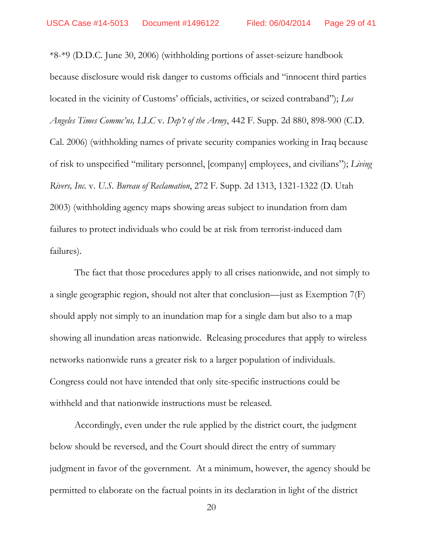\*8-\*9 (D.D.C. June 30, 2006) (withholding portions of asset-seizure handbook because disclosure would risk danger to customs officials and "innocent third parties located in the vicinity of Customs' officials, activities, or seized contraband"); *Los Angeles Times Commc'ns, LLC* v. *Dep't of the Army*, 442 F. Supp. 2d 880, 898-900 (C.D. Cal. 2006) (withholding names of private security companies working in Iraq because of risk to unspecified "military personnel, [company] employees, and civilians"); *Living Rivers, Inc.* v. *U.S. Bureau of Reclamation*, 272 F. Supp. 2d 1313, 1321-1322 (D. Utah 2003) (withholding agency maps showing areas subject to inundation from dam failures to protect individuals who could be at risk from terrorist-induced dam failures).

The fact that those procedures apply to all crises nationwide, and not simply to a single geographic region, should not alter that conclusion—just as Exemption 7(F) should apply not simply to an inundation map for a single dam but also to a map showing all inundation areas nationwide. Releasing procedures that apply to wireless networks nationwide runs a greater risk to a larger population of individuals. Congress could not have intended that only site-specific instructions could be withheld and that nationwide instructions must be released.

Accordingly, even under the rule applied by the district court, the judgment below should be reversed, and the Court should direct the entry of summary judgment in favor of the government. At a minimum, however, the agency should be permitted to elaborate on the factual points in its declaration in light of the district

20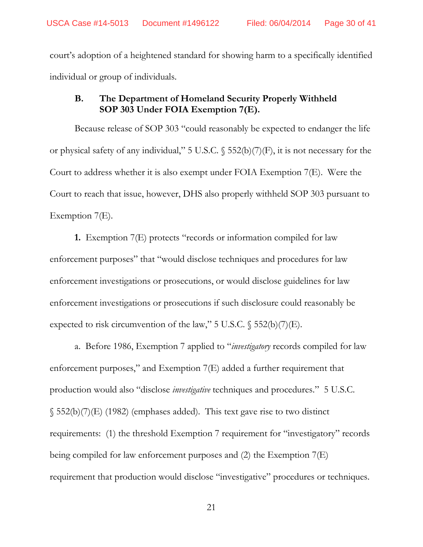court's adoption of a heightened standard for showing harm to a specifically identified individual or group of individuals.

## **B. The Department of Homeland Security Properly Withheld SOP 303 Under FOIA Exemption 7(E).**

Because release of SOP 303 "could reasonably be expected to endanger the life or physical safety of any individual," 5 U.S.C. § 552(b)(7)(F), it is not necessary for the Court to address whether it is also exempt under FOIA Exemption 7(E). Were the Court to reach that issue, however, DHS also properly withheld SOP 303 pursuant to Exemption 7(E).

**1.** Exemption 7(E) protects "records or information compiled for law enforcement purposes" that "would disclose techniques and procedures for law enforcement investigations or prosecutions, or would disclose guidelines for law enforcement investigations or prosecutions if such disclosure could reasonably be expected to risk circumvention of the law," 5 U.S.C.  $\$$  552(b)(7)(E).

a. Before 1986, Exemption 7 applied to "*investigatory* records compiled for law enforcement purposes," and Exemption 7(E) added a further requirement that production would also "disclose *investigative* techniques and procedures." 5 U.S.C. § 552(b)(7)(E) (1982) (emphases added). This text gave rise to two distinct requirements: (1) the threshold Exemption 7 requirement for "investigatory" records being compiled for law enforcement purposes and (2) the Exemption 7(E) requirement that production would disclose "investigative" procedures or techniques.

21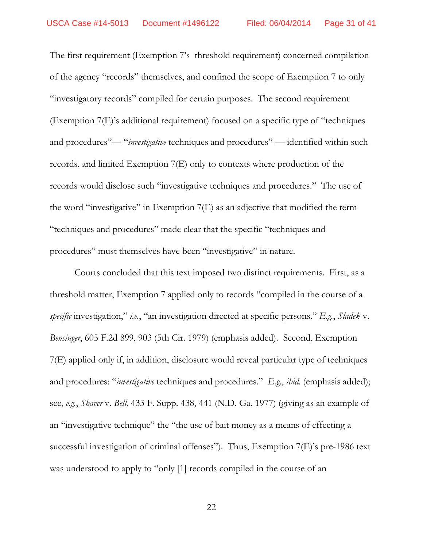The first requirement (Exemption 7's threshold requirement) concerned compilation of the agency "records" themselves, and confined the scope of Exemption 7 to only "investigatory records" compiled for certain purposes. The second requirement (Exemption 7(E)'s additional requirement) focused on a specific type of "techniques and procedures"— "*investigative* techniques and procedures" — identified within such records, and limited Exemption 7(E) only to contexts where production of the records would disclose such "investigative techniques and procedures." The use of the word "investigative" in Exemption 7(E) as an adjective that modified the term "techniques and procedures" made clear that the specific "techniques and procedures" must themselves have been "investigative" in nature.

Courts concluded that this text imposed two distinct requirements. First, as a threshold matter, Exemption 7 applied only to records "compiled in the course of a *specific* investigation," *i.e.*, "an investigation directed at specific persons." *E.g.*, *Sladek* v. *Bensinger*, 605 F.2d 899, 903 (5th Cir. 1979) (emphasis added). Second, Exemption 7(E) applied only if, in addition, disclosure would reveal particular type of techniques and procedures: "*investigative* techniques and procedures." *E.g.*, *ibid.* (emphasis added); see, *e.g.*, *Shaver* v. *Bell*, 433 F. Supp. 438, 441 (N.D. Ga. 1977) (giving as an example of an "investigative technique" the "the use of bait money as a means of effecting a successful investigation of criminal offenses"). Thus, Exemption 7(E)'s pre-1986 text was understood to apply to "only [1] records compiled in the course of an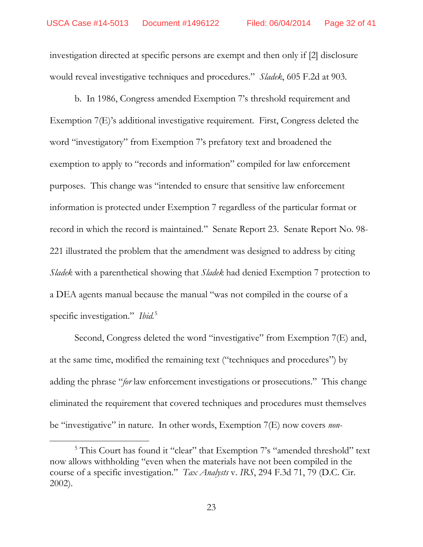investigation directed at specific persons are exempt and then only if [2] disclosure would reveal investigative techniques and procedures." *Sladek*, 605 F.2d at 903.

b. In 1986, Congress amended Exemption 7's threshold requirement and Exemption 7(E)'s additional investigative requirement. First, Congress deleted the word "investigatory" from Exemption 7's prefatory text and broadened the exemption to apply to "records and information" compiled for law enforcement purposes. This change was "intended to ensure that sensitive law enforcement information is protected under Exemption 7 regardless of the particular format or record in which the record is maintained." Senate Report 23. Senate Report No. 98- 221 illustrated the problem that the amendment was designed to address by citing *Sladek* with a parenthetical showing that *Sladek* had denied Exemption 7 protection to a DEA agents manual because the manual "was not compiled in the course of a specific investigation." *Ibid.* [5](#page-31-0)

Second, Congress deleted the word "investigative" from Exemption 7(E) and, at the same time, modified the remaining text ("techniques and procedures") by adding the phrase "*for* law enforcement investigations or prosecutions." This change eliminated the requirement that covered techniques and procedures must themselves be "investigative" in nature. In other words, Exemption 7(E) now covers *non-*

 $\overline{a}$ 

<span id="page-31-0"></span><sup>&</sup>lt;sup>5</sup> This Court has found it "clear" that Exemption 7's "amended threshold" text now allows withholding "even when the materials have not been compiled in the course of a specific investigation." *Tax Analysts* v. *IRS*, 294 F.3d 71, 79 (D.C. Cir. 2002).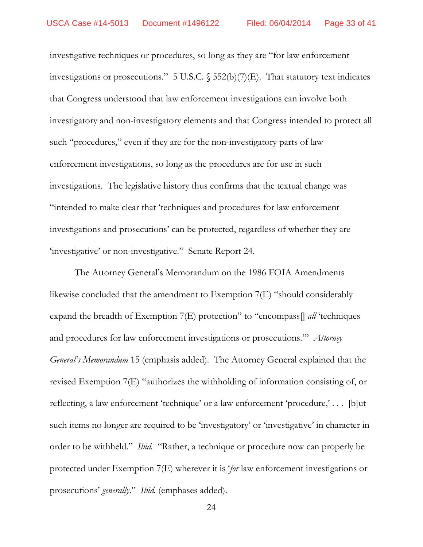investigative techniques or procedures, so long as they are "for law enforcement investigations or prosecutions." 5 U.S.C. § 552(b)(7)(E). That statutory text indicates that Congress understood that law enforcement investigations can involve both investigatory and non-investigatory elements and that Congress intended to protect all such "procedures," even if they are for the non-investigatory parts of law enforcement investigations, so long as the procedures are for use in such investigations. The legislative history thus confirms that the textual change was "intended to make clear that 'techniques and procedures for law enforcement investigations and prosecutions' can be protected, regardless of whether they are 'investigative' or non-investigative." Senate Report 24.

The Attorney General's Memorandum on the 1986 FOIA Amendments likewise concluded that the amendment to Exemption 7(E) "should considerably expand the breadth of Exemption 7(E) protection" to "encompass[] *all* 'techniques and procedures for law enforcement investigations or prosecutions.'" *Attorney General's Memorandum* 15 (emphasis added). The Attorney General explained that the revised Exemption 7(E) "authorizes the withholding of information consisting of, or reflecting, a law enforcement 'technique' or a law enforcement 'procedure,' . . . [b]ut such items no longer are required to be 'investigatory' or 'investigative' in character in order to be withheld." *Ibid.* "Rather, a technique or procedure now can properly be protected under Exemption 7(E) wherever it is '*for* law enforcement investigations or prosecutions' *generally*." *Ibid.* (emphases added).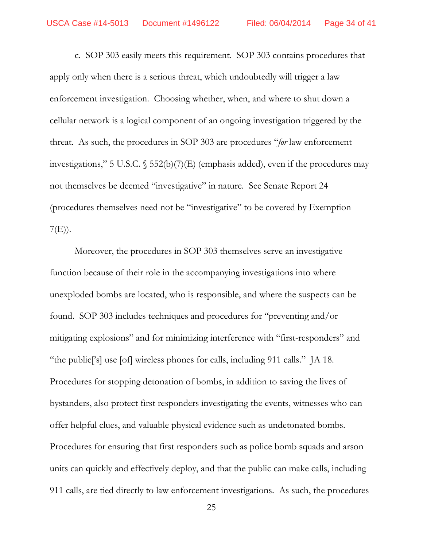c. SOP 303 easily meets this requirement. SOP 303 contains procedures that apply only when there is a serious threat, which undoubtedly will trigger a law enforcement investigation. Choosing whether, when, and where to shut down a cellular network is a logical component of an ongoing investigation triggered by the threat. As such, the procedures in SOP 303 are procedures "*for* law enforcement investigations," 5 U.S.C. § 552(b)(7)(E) (emphasis added), even if the procedures may not themselves be deemed "investigative" in nature. See Senate Report 24 (procedures themselves need not be "investigative" to be covered by Exemption  $7(E)$ ).

Moreover, the procedures in SOP 303 themselves serve an investigative function because of their role in the accompanying investigations into where unexploded bombs are located, who is responsible, and where the suspects can be found. SOP 303 includes techniques and procedures for "preventing and/or mitigating explosions" and for minimizing interference with "first-responders" and "the public['s] use [of] wireless phones for calls, including 911 calls." JA 18. Procedures for stopping detonation of bombs, in addition to saving the lives of bystanders, also protect first responders investigating the events, witnesses who can offer helpful clues, and valuable physical evidence such as undetonated bombs. Procedures for ensuring that first responders such as police bomb squads and arson units can quickly and effectively deploy, and that the public can make calls, including 911 calls, are tied directly to law enforcement investigations. As such, the procedures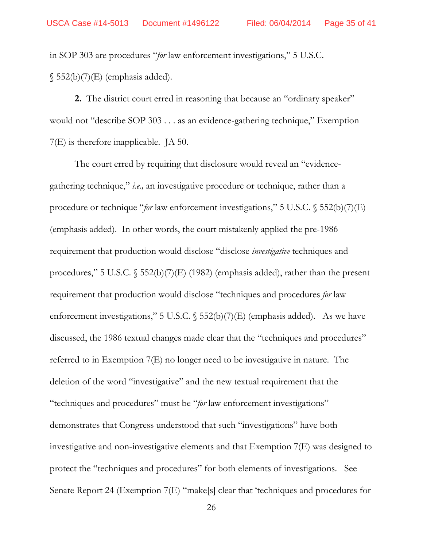in SOP 303 are procedures "*for* law enforcement investigations," 5 U.S.C.  $\S$  552(b)(7)(E) (emphasis added).

**2.** The district court erred in reasoning that because an "ordinary speaker" would not "describe SOP 303 . . . as an evidence-gathering technique," Exemption 7(E) is therefore inapplicable. JA 50.

The court erred by requiring that disclosure would reveal an "evidencegathering technique," *i.e.,* an investigative procedure or technique, rather than a procedure or technique "*for* law enforcement investigations," 5 U.S.C. § 552(b)(7)(E) (emphasis added). In other words, the court mistakenly applied the pre-1986 requirement that production would disclose "disclose *investigative* techniques and procedures," 5 U.S.C. § 552(b)(7)(E) (1982) (emphasis added), rather than the present requirement that production would disclose "techniques and procedures *for* law enforcement investigations," 5 U.S.C.  $\S$  552(b)(7)(E) (emphasis added). As we have discussed, the 1986 textual changes made clear that the "techniques and procedures" referred to in Exemption 7(E) no longer need to be investigative in nature. The deletion of the word "investigative" and the new textual requirement that the "techniques and procedures" must be "*for* law enforcement investigations" demonstrates that Congress understood that such "investigations" have both investigative and non-investigative elements and that Exemption 7(E) was designed to protect the "techniques and procedures" for both elements of investigations. See Senate Report 24 (Exemption 7(E) "make[s] clear that 'techniques and procedures for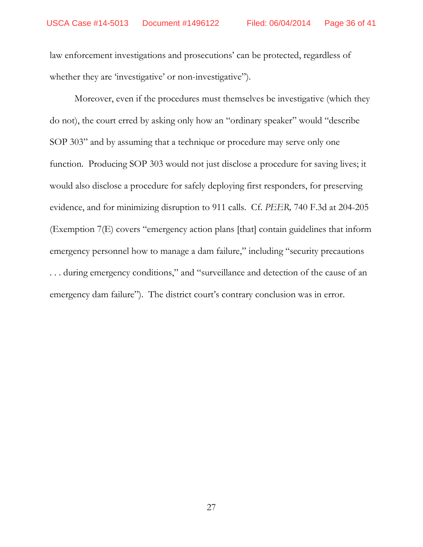law enforcement investigations and prosecutions' can be protected, regardless of whether they are 'investigative' or non-investigative'').

Moreover, even if the procedures must themselves be investigative (which they do not), the court erred by asking only how an "ordinary speaker" would "describe SOP 303" and by assuming that a technique or procedure may serve only one function. Producing SOP 303 would not just disclose a procedure for saving lives; it would also disclose a procedure for safely deploying first responders, for preserving evidence, and for minimizing disruption to 911 calls. Cf. *PEER,* 740 F.3d at 204-205 (Exemption 7(E) covers "emergency action plans [that] contain guidelines that inform emergency personnel how to manage a dam failure," including "security precautions . . . during emergency conditions," and "surveillance and detection of the cause of an emergency dam failure"). The district court's contrary conclusion was in error.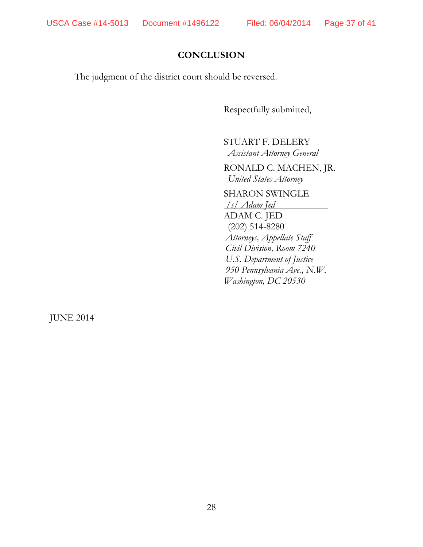## **CONCLUSION**

The judgment of the district court should be reversed.

Respectfully submitted,

STUART F. DELERY  *Assistant Attorney General*

 RONALD C. MACHEN, JR.  *United States Attorney*

SHARON SWINGLE

*/s/ Adam Jed*  ADAM C. JED (202) 514-8280  *Attorneys, Appellate Staff Civil Division, Room 7240 U.S. Department of Justice 950 Pennsylvania Ave., N.W. Washington, DC 20530*

JUNE 2014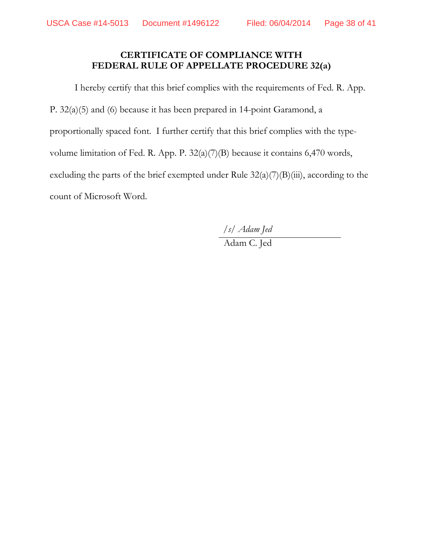## **CERTIFICATE OF COMPLIANCE WITH FEDERAL RULE OF APPELLATE PROCEDURE 32(a)**

I hereby certify that this brief complies with the requirements of Fed. R. App. P. 32(a)(5) and (6) because it has been prepared in 14-point Garamond, a proportionally spaced font. I further certify that this brief complies with the typevolume limitation of Fed. R. App. P. 32(a)(7)(B) because it contains 6,470 words, excluding the parts of the brief exempted under Rule  $32(a)(7)(B)(iii)$ , according to the count of Microsoft Word.

*/s/ Adam Jed*

Adam C. Jed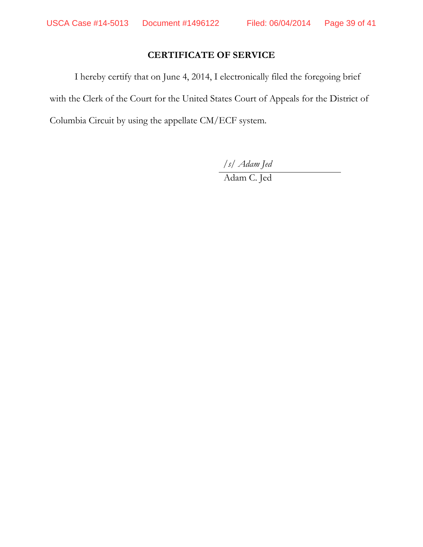## **CERTIFICATE OF SERVICE**

I hereby certify that on June 4, 2014, I electronically filed the foregoing brief with the Clerk of the Court for the United States Court of Appeals for the District of Columbia Circuit by using the appellate CM/ECF system.

*/s/ Adam Jed*

Adam C. Jed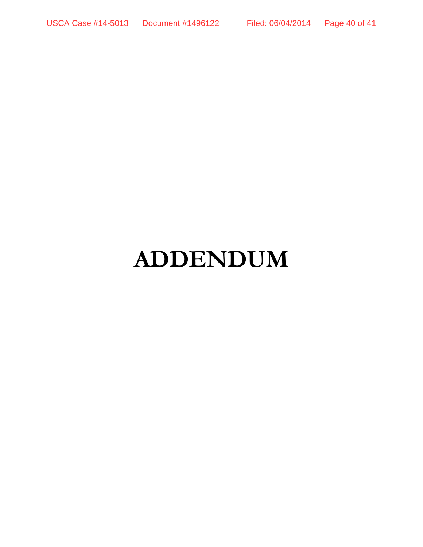# **ADDENDUM**